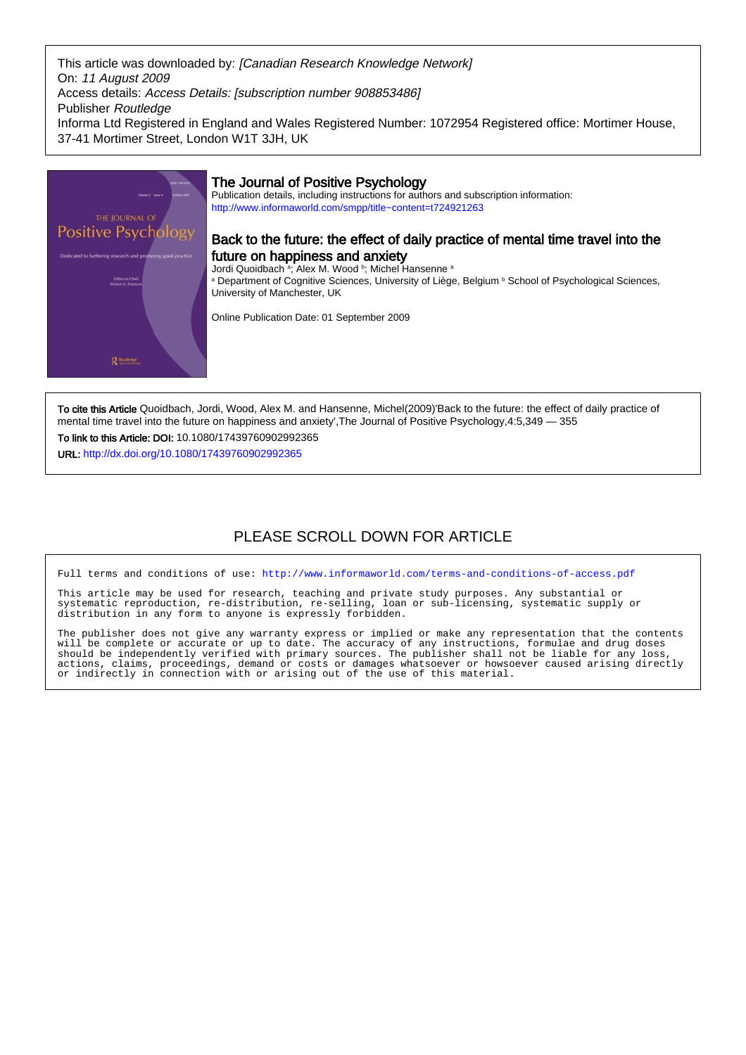This article was downloaded by: [Canadian Research Knowledge Network] On: 11 August 2009 Access details: Access Details: [subscription number 908853486] Publisher Routledge Informa Ltd Registered in England and Wales Registered Number: 1072954 Registered office: Mortimer House, 37-41 Mortimer Street, London W1T 3JH, UK



To cite this Article Quoidbach, Jordi, Wood, Alex M. and Hansenne, Michel(2009)'Back to the future: the effect of daily practice of mental time travel into the future on happiness and anxiety',The Journal of Positive Psychology,4:5,349 — 355 To link to this Article: DOI: 10.1080/17439760902992365

URL: <http://dx.doi.org/10.1080/17439760902992365>

# PLEASE SCROLL DOWN FOR ARTICLE

Full terms and conditions of use:<http://www.informaworld.com/terms-and-conditions-of-access.pdf>

This article may be used for research, teaching and private study purposes. Any substantial or systematic reproduction, re-distribution, re-selling, loan or sub-licensing, systematic supply or distribution in any form to anyone is expressly forbidden.

The publisher does not give any warranty express or implied or make any representation that the contents will be complete or accurate or up to date. The accuracy of any instructions, formulae and drug doses should be independently verified with primary sources. The publisher shall not be liable for any loss, actions, claims, proceedings, demand or costs or damages whatsoever or howsoever caused arising directly or indirectly in connection with or arising out of the use of this material.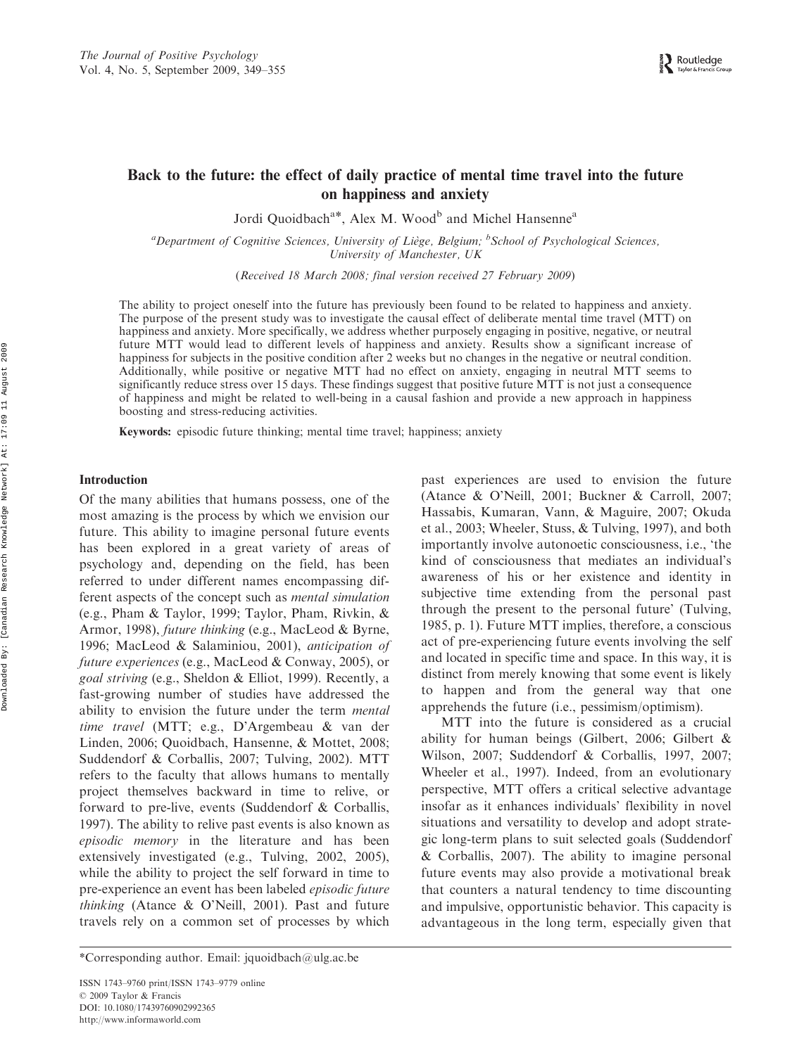## Back to the future: the effect of daily practice of mental time travel into the future on happiness and anxiety

Jordi Quoidbach<sup>a\*</sup>, Alex M. Wood<sup>b</sup> and Michel Hansenne<sup>a</sup>

<sup>a</sup>Department of Cognitive Sciences, University of Liège, Belgium; <sup>b</sup>School of Psychological Sciences, University of Manchester, UK

(Received 18 March 2008; final version received 27 February 2009)

The ability to project oneself into the future has previously been found to be related to happiness and anxiety. The purpose of the present study was to investigate the causal effect of deliberate mental time travel (MTT) on happiness and anxiety. More specifically, we address whether purposely engaging in positive, negative, or neutral future MTT would lead to different levels of happiness and anxiety. Results show a significant increase of happiness for subjects in the positive condition after 2 weeks but no changes in the negative or neutral condition. Additionally, while positive or negative MTT had no effect on anxiety, engaging in neutral MTT seems to significantly reduce stress over 15 days. These findings suggest that positive future MTT is not just a consequence of happiness and might be related to well-being in a causal fashion and provide a new approach in happiness boosting and stress-reducing activities.

Keywords: episodic future thinking; mental time travel; happiness; anxiety

## Introduction

Of the many abilities that humans possess, one of the most amazing is the process by which we envision our future. This ability to imagine personal future events has been explored in a great variety of areas of psychology and, depending on the field, has been referred to under different names encompassing different aspects of the concept such as mental simulation (e.g., Pham & Taylor, 1999; Taylor, Pham, Rivkin, & Armor, 1998), future thinking (e.g., MacLeod & Byrne, 1996; MacLeod & Salaminiou, 2001), anticipation of future experiences (e.g., MacLeod & Conway, 2005), or goal striving (e.g., Sheldon & Elliot, 1999). Recently, a fast-growing number of studies have addressed the ability to envision the future under the term mental time travel (MTT; e.g., D'Argembeau & van der Linden, 2006; Quoidbach, Hansenne, & Mottet, 2008; Suddendorf & Corballis, 2007; Tulving, 2002). MTT refers to the faculty that allows humans to mentally project themselves backward in time to relive, or forward to pre-live, events (Suddendorf & Corballis, 1997). The ability to relive past events is also known as episodic memory in the literature and has been extensively investigated (e.g., Tulving, 2002, 2005), while the ability to project the self forward in time to pre-experience an event has been labeled episodic future thinking (Atance & O'Neill, 2001). Past and future travels rely on a common set of processes by which

past experiences are used to envision the future (Atance & O'Neill, 2001; Buckner & Carroll, 2007; Hassabis, Kumaran, Vann, & Maguire, 2007; Okuda et al., 2003; Wheeler, Stuss, & Tulving, 1997), and both importantly involve autonoetic consciousness, i.e., 'the kind of consciousness that mediates an individual's awareness of his or her existence and identity in subjective time extending from the personal past through the present to the personal future' (Tulving, 1985, p. 1). Future MTT implies, therefore, a conscious act of pre-experiencing future events involving the self and located in specific time and space. In this way, it is distinct from merely knowing that some event is likely to happen and from the general way that one apprehends the future (i.e., pessimism/optimism).

MTT into the future is considered as a crucial ability for human beings (Gilbert, 2006; Gilbert & Wilson, 2007; Suddendorf & Corballis, 1997, 2007; Wheeler et al., 1997). Indeed, from an evolutionary perspective, MTT offers a critical selective advantage insofar as it enhances individuals' flexibility in novel situations and versatility to develop and adopt strategic long-term plans to suit selected goals (Suddendorf & Corballis, 2007). The ability to imagine personal future events may also provide a motivational break that counters a natural tendency to time discounting and impulsive, opportunistic behavior. This capacity is advantageous in the long term, especially given that

<sup>\*</sup>Corresponding author. Email: jquoidbach@ulg.ac.be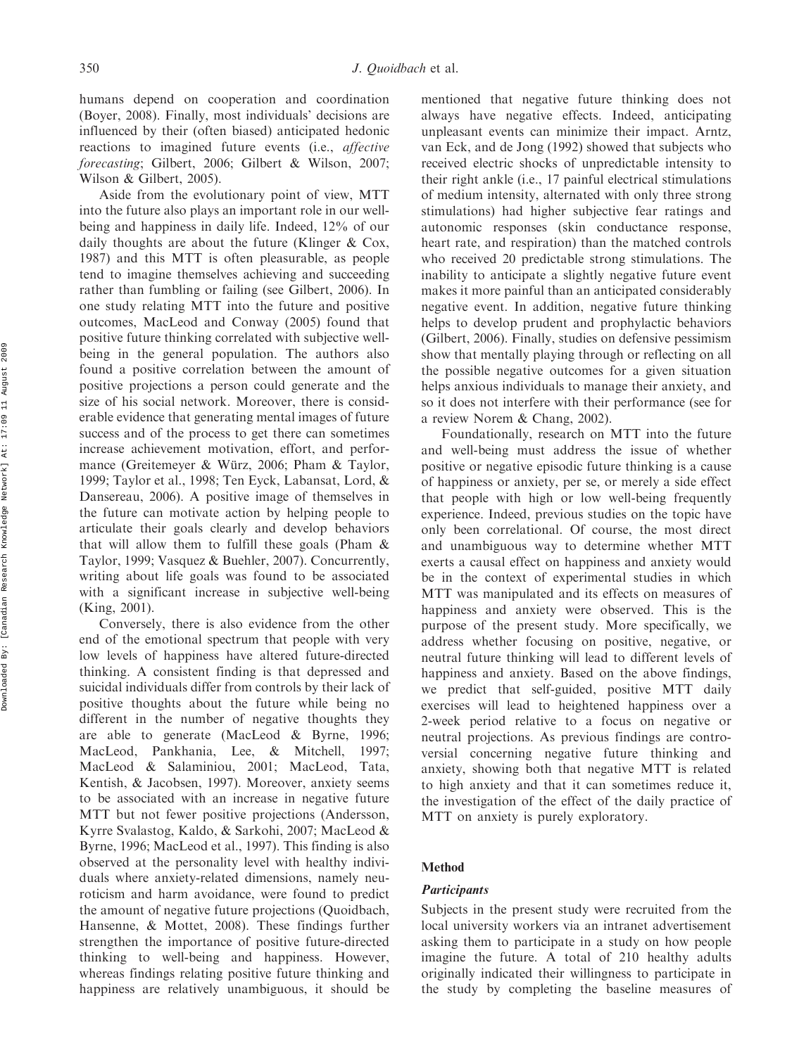humans depend on cooperation and coordination (Boyer, 2008). Finally, most individuals' decisions are influenced by their (often biased) anticipated hedonic reactions to imagined future events (i.e., affective forecasting; Gilbert, 2006; Gilbert & Wilson, 2007; Wilson & Gilbert, 2005).

Aside from the evolutionary point of view, MTT into the future also plays an important role in our wellbeing and happiness in daily life. Indeed, 12% of our daily thoughts are about the future (Klinger & Cox, 1987) and this MTT is often pleasurable, as people tend to imagine themselves achieving and succeeding rather than fumbling or failing (see Gilbert, 2006). In one study relating MTT into the future and positive outcomes, MacLeod and Conway (2005) found that positive future thinking correlated with subjective wellbeing in the general population. The authors also found a positive correlation between the amount of positive projections a person could generate and the size of his social network. Moreover, there is considerable evidence that generating mental images of future success and of the process to get there can sometimes increase achievement motivation, effort, and performance (Greitemeyer & Würz, 2006; Pham & Taylor, 1999; Taylor et al., 1998; Ten Eyck, Labansat, Lord, & Dansereau, 2006). A positive image of themselves in the future can motivate action by helping people to articulate their goals clearly and develop behaviors that will allow them to fulfill these goals (Pham  $\&$ Taylor, 1999; Vasquez & Buehler, 2007). Concurrently, writing about life goals was found to be associated with a significant increase in subjective well-being (King, 2001).

Conversely, there is also evidence from the other end of the emotional spectrum that people with very low levels of happiness have altered future-directed thinking. A consistent finding is that depressed and suicidal individuals differ from controls by their lack of positive thoughts about the future while being no different in the number of negative thoughts they are able to generate (MacLeod & Byrne, 1996; MacLeod, Pankhania, Lee, & Mitchell, 1997; MacLeod & Salaminiou, 2001; MacLeod, Tata, Kentish, & Jacobsen, 1997). Moreover, anxiety seems to be associated with an increase in negative future MTT but not fewer positive projections (Andersson, Kyrre Svalastog, Kaldo, & Sarkohi, 2007; MacLeod & Byrne, 1996; MacLeod et al., 1997). This finding is also observed at the personality level with healthy individuals where anxiety-related dimensions, namely neuroticism and harm avoidance, were found to predict the amount of negative future projections (Quoidbach, Hansenne, & Mottet, 2008). These findings further strengthen the importance of positive future-directed thinking to well-being and happiness. However, whereas findings relating positive future thinking and happiness are relatively unambiguous, it should be

mentioned that negative future thinking does not always have negative effects. Indeed, anticipating unpleasant events can minimize their impact. Arntz, van Eck, and de Jong (1992) showed that subjects who received electric shocks of unpredictable intensity to their right ankle (i.e., 17 painful electrical stimulations of medium intensity, alternated with only three strong stimulations) had higher subjective fear ratings and autonomic responses (skin conductance response, heart rate, and respiration) than the matched controls who received 20 predictable strong stimulations. The inability to anticipate a slightly negative future event makes it more painful than an anticipated considerably negative event. In addition, negative future thinking helps to develop prudent and prophylactic behaviors (Gilbert, 2006). Finally, studies on defensive pessimism show that mentally playing through or reflecting on all the possible negative outcomes for a given situation helps anxious individuals to manage their anxiety, and so it does not interfere with their performance (see for a review Norem & Chang, 2002).

Foundationally, research on MTT into the future and well-being must address the issue of whether positive or negative episodic future thinking is a cause of happiness or anxiety, per se, or merely a side effect that people with high or low well-being frequently experience. Indeed, previous studies on the topic have only been correlational. Of course, the most direct and unambiguous way to determine whether MTT exerts a causal effect on happiness and anxiety would be in the context of experimental studies in which MTT was manipulated and its effects on measures of happiness and anxiety were observed. This is the purpose of the present study. More specifically, we address whether focusing on positive, negative, or neutral future thinking will lead to different levels of happiness and anxiety. Based on the above findings, we predict that self-guided, positive MTT daily exercises will lead to heightened happiness over a 2-week period relative to a focus on negative or neutral projections. As previous findings are controversial concerning negative future thinking and anxiety, showing both that negative MTT is related to high anxiety and that it can sometimes reduce it, the investigation of the effect of the daily practice of MTT on anxiety is purely exploratory.

## Method

### Participants

Subjects in the present study were recruited from the local university workers via an intranet advertisement asking them to participate in a study on how people imagine the future. A total of 210 healthy adults originally indicated their willingness to participate in the study by completing the baseline measures of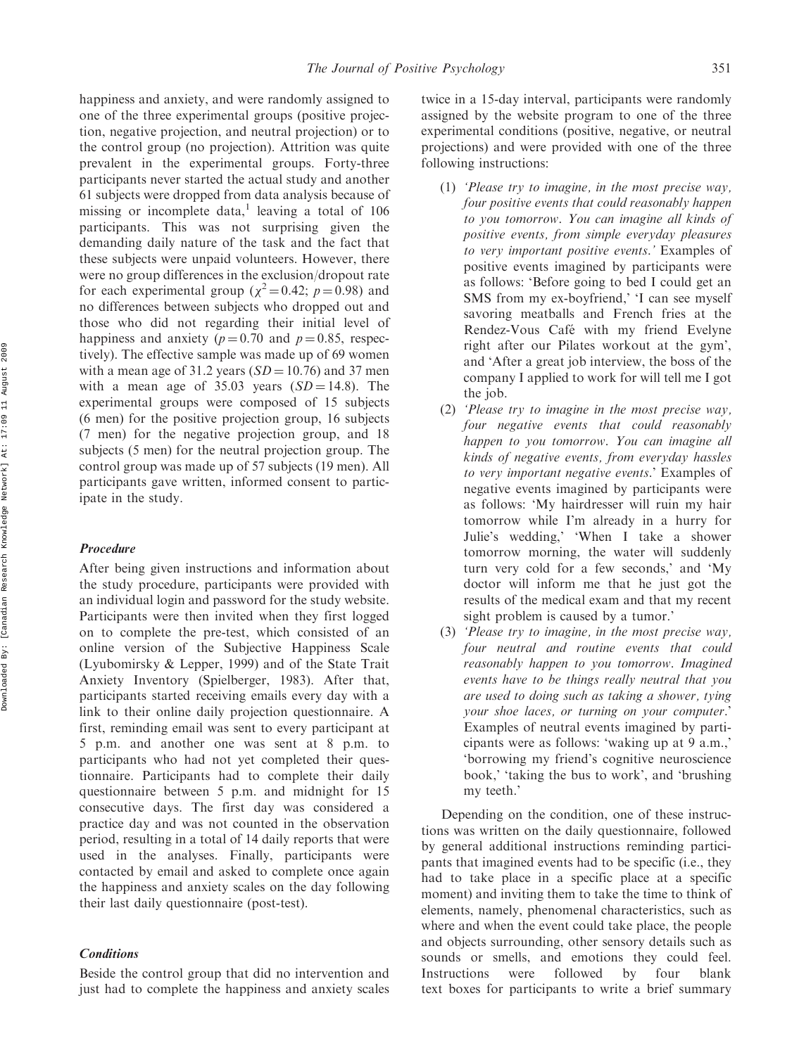happiness and anxiety, and were randomly assigned to one of the three experimental groups (positive projection, negative projection, and neutral projection) or to the control group (no projection). Attrition was quite prevalent in the experimental groups. Forty-three participants never started the actual study and another 61 subjects were dropped from data analysis because of missing or incomplete data, $\frac{1}{1}$  leaving a total of 106 participants. This was not surprising given the demanding daily nature of the task and the fact that these subjects were unpaid volunteers. However, there were no group differences in the exclusion/dropout rate for each experimental group ( $\chi^2$  = 0.42;  $p$  = 0.98) and no differences between subjects who dropped out and those who did not regarding their initial level of happiness and anxiety ( $p = 0.70$  and  $p = 0.85$ , respectively). The effective sample was made up of 69 women with a mean age of 31.2 years  $(SD = 10.76)$  and 37 men with a mean age of 35.03 years  $(SD = 14.8)$ . The experimental groups were composed of 15 subjects (6 men) for the positive projection group, 16 subjects (7 men) for the negative projection group, and 18 subjects (5 men) for the neutral projection group. The control group was made up of 57 subjects (19 men). All participants gave written, informed consent to participate in the study.

### Procedure

After being given instructions and information about the study procedure, participants were provided with an individual login and password for the study website. Participants were then invited when they first logged on to complete the pre-test, which consisted of an online version of the Subjective Happiness Scale (Lyubomirsky & Lepper, 1999) and of the State Trait Anxiety Inventory (Spielberger, 1983). After that, participants started receiving emails every day with a link to their online daily projection questionnaire. A first, reminding email was sent to every participant at 5 p.m. and another one was sent at 8 p.m. to participants who had not yet completed their questionnaire. Participants had to complete their daily questionnaire between 5 p.m. and midnight for 15 consecutive days. The first day was considered a practice day and was not counted in the observation period, resulting in a total of 14 daily reports that were used in the analyses. Finally, participants were contacted by email and asked to complete once again the happiness and anxiety scales on the day following their last daily questionnaire (post-test).

## **Conditions**

Beside the control group that did no intervention and just had to complete the happiness and anxiety scales twice in a 15-day interval, participants were randomly assigned by the website program to one of the three experimental conditions (positive, negative, or neutral projections) and were provided with one of the three following instructions:

- (1) 'Please try to imagine, in the most precise way, four positive events that could reasonably happen to you tomorrow. You can imagine all kinds of positive events, from simple everyday pleasures to very important positive events.' Examples of positive events imagined by participants were as follows: 'Before going to bed I could get an SMS from my ex-boyfriend,' 'I can see myself savoring meatballs and French fries at the Rendez-Vous Café with my friend Evelyne right after our Pilates workout at the gym', and 'After a great job interview, the boss of the company I applied to work for will tell me I got the job.
- (2) 'Please try to imagine in the most precise way, four negative events that could reasonably happen to you tomorrow. You can imagine all kinds of negative events, from everyday hassles to very important negative events.' Examples of negative events imagined by participants were as follows: 'My hairdresser will ruin my hair tomorrow while I'm already in a hurry for Julie's wedding,' 'When I take a shower tomorrow morning, the water will suddenly turn very cold for a few seconds,' and 'My doctor will inform me that he just got the results of the medical exam and that my recent sight problem is caused by a tumor.'
- (3) 'Please try to imagine, in the most precise way, four neutral and routine events that could reasonably happen to you tomorrow. Imagined events have to be things really neutral that you are used to doing such as taking a shower, tying your shoe laces, or turning on your computer.' Examples of neutral events imagined by participants were as follows: 'waking up at 9 a.m.,' 'borrowing my friend's cognitive neuroscience book,' 'taking the bus to work', and 'brushing my teeth.'

Depending on the condition, one of these instructions was written on the daily questionnaire, followed by general additional instructions reminding participants that imagined events had to be specific (i.e., they had to take place in a specific place at a specific moment) and inviting them to take the time to think of elements, namely, phenomenal characteristics, such as where and when the event could take place, the people and objects surrounding, other sensory details such as sounds or smells, and emotions they could feel. Instructions were followed by four blank text boxes for participants to write a brief summary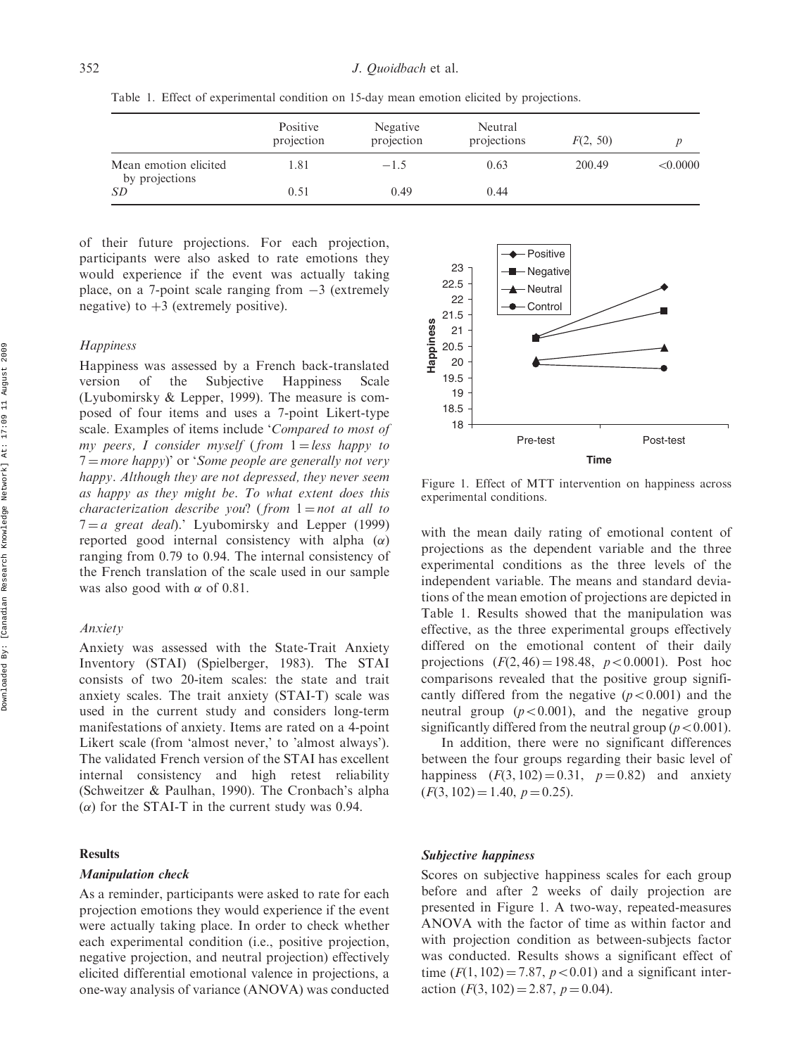Table 1. Effect of experimental condition on 15-day mean emotion elicited by projections.

|                                         | Positive<br>projection | Negative<br>projection | Neutral<br>projections | F(2, 50) |          |
|-----------------------------------------|------------------------|------------------------|------------------------|----------|----------|
| Mean emotion elicited<br>by projections | 1.81                   | $-1.5$                 | 0.63                   | 200.49   | < 0.0000 |
| SD                                      | 0.51                   | 0.49                   | 0.44                   |          |          |

of their future projections. For each projection, participants were also asked to rate emotions they would experience if the event was actually taking place, on a 7-point scale ranging from  $-3$  (extremely negative) to  $+3$  (extremely positive).

## **Happiness**

Happiness was assessed by a French back-translated version of the Subjective Happiness Scale (Lyubomirsky & Lepper, 1999). The measure is composed of four items and uses a 7-point Likert-type scale. Examples of items include 'Compared to most of my peers, I consider myself (from  $1 =$ less happy to  $7 = more happy$ )' or 'Some people are generally not very happy. Although they are not depressed, they never seem as happy as they might be. To what extent does this characterization describe you? (from  $1 = not$  at all to  $7 = a$  great deal).' Lyubomirsky and Lepper (1999) reported good internal consistency with alpha  $(\alpha)$ ranging from 0.79 to 0.94. The internal consistency of the French translation of the scale used in our sample was also good with  $\alpha$  of 0.81.

#### Anxiety

Anxiety was assessed with the State-Trait Anxiety Inventory (STAI) (Spielberger, 1983). The STAI consists of two 20-item scales: the state and trait anxiety scales. The trait anxiety (STAI-T) scale was used in the current study and considers long-term manifestations of anxiety. Items are rated on a 4-point Likert scale (from 'almost never,' to 'almost always'). The validated French version of the STAI has excellent internal consistency and high retest reliability (Schweitzer & Paulhan, 1990). The Cronbach's alpha  $(\alpha)$  for the STAI-T in the current study was 0.94.

## Results

#### Manipulation check

As a reminder, participants were asked to rate for each projection emotions they would experience if the event were actually taking place. In order to check whether each experimental condition (i.e., positive projection, negative projection, and neutral projection) effectively elicited differential emotional valence in projections, a one-way analysis of variance (ANOVA) was conducted



Figure 1. Effect of MTT intervention on happiness across experimental conditions.

with the mean daily rating of emotional content of projections as the dependent variable and the three experimental conditions as the three levels of the independent variable. The means and standard deviations of the mean emotion of projections are depicted in Table 1. Results showed that the manipulation was effective, as the three experimental groups effectively differed on the emotional content of their daily projections  $(F(2, 46) = 198.48, p < 0.0001)$ . Post hoc comparisons revealed that the positive group significantly differed from the negative  $(p<0.001)$  and the neutral group  $(p<0.001)$ , and the negative group significantly differed from the neutral group ( $p < 0.001$ ).

In addition, there were no significant differences between the four groups regarding their basic level of happiness  $(F(3, 102) = 0.31, p = 0.82)$  and anxiety  $(F(3, 102) = 1.40, p = 0.25).$ 

## Subjective happiness

Scores on subjective happiness scales for each group before and after 2 weeks of daily projection are presented in Figure 1. A two-way, repeated-measures ANOVA with the factor of time as within factor and with projection condition as between-subjects factor was conducted. Results shows a significant effect of time  $(F(1, 102) = 7.87, p < 0.01)$  and a significant interaction  $(F(3, 102) = 2.87, p = 0.04)$ .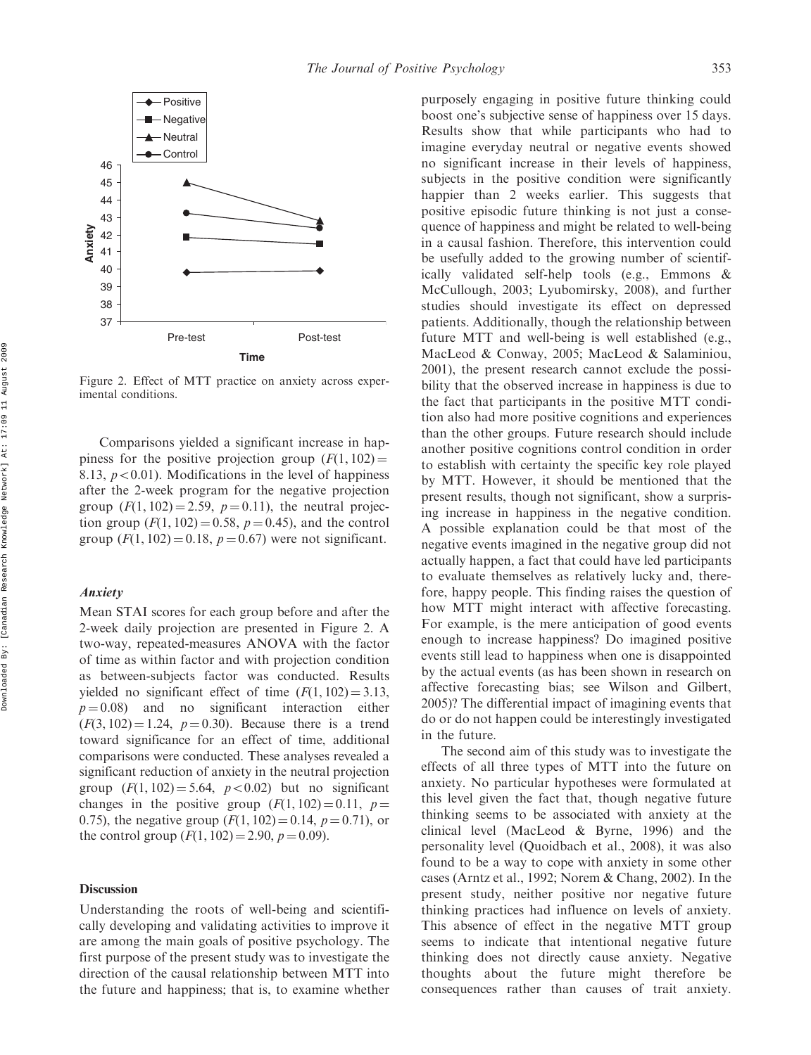

Figure 2. Effect of MTT practice on anxiety across experimental conditions.

Comparisons yielded a significant increase in happiness for the positive projection group  $(F(1, 102)) =$ 8.13,  $p < 0.01$ ). Modifications in the level of happiness after the 2-week program for the negative projection group  $(F(1, 102) = 2.59, p = 0.11)$ , the neutral projection group  $(F(1, 102) = 0.58, p = 0.45)$ , and the control group  $(F(1, 102) = 0.18, p = 0.67)$  were not significant.

### Anxiety

Mean STAI scores for each group before and after the 2-week daily projection are presented in Figure 2. A two-way, repeated-measures ANOVA with the factor of time as within factor and with projection condition as between-subjects factor was conducted. Results yielded no significant effect of time  $(F(1, 102) = 3.13,$  $p = 0.08$ ) and no significant interaction either  $(F(3, 102) = 1.24, p = 0.30)$ . Because there is a trend toward significance for an effect of time, additional comparisons were conducted. These analyses revealed a significant reduction of anxiety in the neutral projection group  $(F(1, 102) = 5.64, p < 0.02)$  but no significant changes in the positive group  $(F(1, 102) = 0.11, p =$ 0.75), the negative group  $(F(1, 102) = 0.14, p = 0.71)$ , or the control group  $(F(1, 102) = 2.90, p = 0.09)$ .

## Discussion

Understanding the roots of well-being and scientifically developing and validating activities to improve it are among the main goals of positive psychology. The first purpose of the present study was to investigate the direction of the causal relationship between MTT into the future and happiness; that is, to examine whether purposely engaging in positive future thinking could boost one's subjective sense of happiness over 15 days. Results show that while participants who had to imagine everyday neutral or negative events showed no significant increase in their levels of happiness, subjects in the positive condition were significantly happier than 2 weeks earlier. This suggests that positive episodic future thinking is not just a consequence of happiness and might be related to well-being in a causal fashion. Therefore, this intervention could be usefully added to the growing number of scientifically validated self-help tools (e.g., Emmons & McCullough, 2003; Lyubomirsky, 2008), and further studies should investigate its effect on depressed patients. Additionally, though the relationship between future MTT and well-being is well established (e.g., MacLeod & Conway, 2005; MacLeod & Salaminiou, 2001), the present research cannot exclude the possibility that the observed increase in happiness is due to the fact that participants in the positive MTT condition also had more positive cognitions and experiences than the other groups. Future research should include another positive cognitions control condition in order to establish with certainty the specific key role played by MTT. However, it should be mentioned that the present results, though not significant, show a surprising increase in happiness in the negative condition. A possible explanation could be that most of the negative events imagined in the negative group did not actually happen, a fact that could have led participants to evaluate themselves as relatively lucky and, therefore, happy people. This finding raises the question of how MTT might interact with affective forecasting. For example, is the mere anticipation of good events enough to increase happiness? Do imagined positive events still lead to happiness when one is disappointed by the actual events (as has been shown in research on affective forecasting bias; see Wilson and Gilbert, 2005)? The differential impact of imagining events that do or do not happen could be interestingly investigated in the future.

The second aim of this study was to investigate the effects of all three types of MTT into the future on anxiety. No particular hypotheses were formulated at this level given the fact that, though negative future thinking seems to be associated with anxiety at the clinical level (MacLeod & Byrne, 1996) and the personality level (Quoidbach et al., 2008), it was also found to be a way to cope with anxiety in some other cases (Arntz et al., 1992; Norem & Chang, 2002). In the present study, neither positive nor negative future thinking practices had influence on levels of anxiety. This absence of effect in the negative MTT group seems to indicate that intentional negative future thinking does not directly cause anxiety. Negative thoughts about the future might therefore be consequences rather than causes of trait anxiety.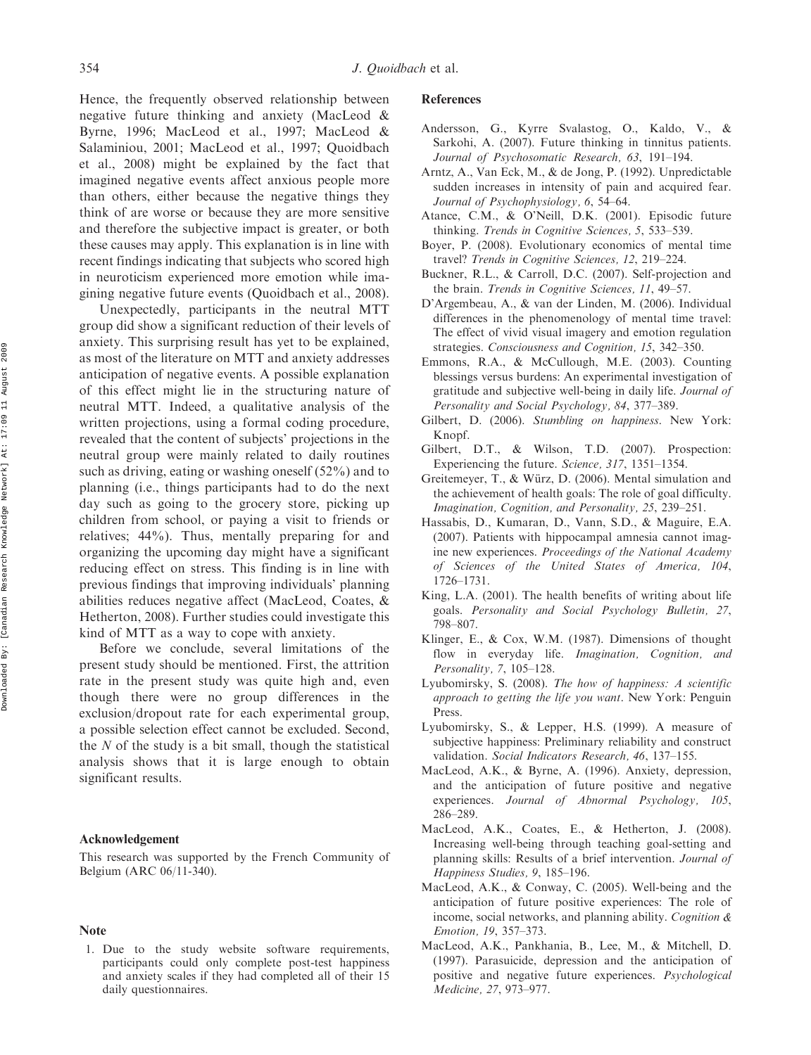Hence, the frequently observed relationship between negative future thinking and anxiety (MacLeod & Byrne, 1996; MacLeod et al., 1997; MacLeod & Salaminiou, 2001; MacLeod et al., 1997; Quoidbach et al., 2008) might be explained by the fact that imagined negative events affect anxious people more than others, either because the negative things they think of are worse or because they are more sensitive and therefore the subjective impact is greater, or both these causes may apply. This explanation is in line with recent findings indicating that subjects who scored high in neuroticism experienced more emotion while imagining negative future events (Quoidbach et al., 2008).

Unexpectedly, participants in the neutral MTT group did show a significant reduction of their levels of anxiety. This surprising result has yet to be explained, as most of the literature on MTT and anxiety addresses anticipation of negative events. A possible explanation of this effect might lie in the structuring nature of neutral MTT. Indeed, a qualitative analysis of the written projections, using a formal coding procedure, revealed that the content of subjects' projections in the neutral group were mainly related to daily routines such as driving, eating or washing oneself (52%) and to planning (i.e., things participants had to do the next day such as going to the grocery store, picking up children from school, or paying a visit to friends or relatives; 44%). Thus, mentally preparing for and organizing the upcoming day might have a significant reducing effect on stress. This finding is in line with previous findings that improving individuals' planning abilities reduces negative affect (MacLeod, Coates, & Hetherton, 2008). Further studies could investigate this kind of MTT as a way to cope with anxiety.

Before we conclude, several limitations of the present study should be mentioned. First, the attrition rate in the present study was quite high and, even though there were no group differences in the exclusion/dropout rate for each experimental group, a possible selection effect cannot be excluded. Second, the  $N$  of the study is a bit small, though the statistical analysis shows that it is large enough to obtain significant results.

#### Acknowledgement

This research was supported by the French Community of Belgium (ARC 06/11-340).

#### Note

1. Due to the study website software requirements, participants could only complete post-test happiness and anxiety scales if they had completed all of their 15 daily questionnaires.

#### **References**

- Andersson, G., Kyrre Svalastog, O., Kaldo, V., & Sarkohi, A. (2007). Future thinking in tinnitus patients. Journal of Psychosomatic Research, 63, 191–194.
- Arntz, A., Van Eck, M., & de Jong, P. (1992). Unpredictable sudden increases in intensity of pain and acquired fear. Journal of Psychophysiology, 6, 54–64.
- Atance, C.M., & O'Neill, D.K. (2001). Episodic future thinking. Trends in Cognitive Sciences, 5, 533–539.
- Boyer, P. (2008). Evolutionary economics of mental time travel? Trends in Cognitive Sciences, 12, 219–224.
- Buckner, R.L., & Carroll, D.C. (2007). Self-projection and the brain. Trends in Cognitive Sciences, 11, 49–57.
- D'Argembeau, A., & van der Linden, M. (2006). Individual differences in the phenomenology of mental time travel: The effect of vivid visual imagery and emotion regulation strategies. Consciousness and Cognition, 15, 342–350.
- Emmons, R.A., & McCullough, M.E. (2003). Counting blessings versus burdens: An experimental investigation of gratitude and subjective well-being in daily life. Journal of Personality and Social Psychology, 84, 377–389.
- Gilbert, D. (2006). Stumbling on happiness. New York: Knopf.
- Gilbert, D.T., & Wilson, T.D. (2007). Prospection: Experiencing the future. Science, 317, 1351–1354.
- Greitemeyer, T., & Würz, D. (2006). Mental simulation and the achievement of health goals: The role of goal difficulty. Imagination, Cognition, and Personality, 25, 239–251.
- Hassabis, D., Kumaran, D., Vann, S.D., & Maguire, E.A. (2007). Patients with hippocampal amnesia cannot imagine new experiences. Proceedings of the National Academy of Sciences of the United States of America, 104, 1726–1731.
- King, L.A. (2001). The health benefits of writing about life goals. Personality and Social Psychology Bulletin, 27, 798–807.
- Klinger, E., & Cox, W.M. (1987). Dimensions of thought flow in everyday life. Imagination, Cognition, and Personality, 7, 105–128.
- Lyubomirsky, S. (2008). The how of happiness: A scientific approach to getting the life you want. New York: Penguin Press.
- Lyubomirsky, S., & Lepper, H.S. (1999). A measure of subjective happiness: Preliminary reliability and construct validation. Social Indicators Research, 46, 137–155.
- MacLeod, A.K., & Byrne, A. (1996). Anxiety, depression, and the anticipation of future positive and negative experiences. Journal of Abnormal Psychology, 105, 286–289.
- MacLeod, A.K., Coates, E., & Hetherton, J. (2008). Increasing well-being through teaching goal-setting and planning skills: Results of a brief intervention. Journal of Happiness Studies, 9, 185–196.
- MacLeod, A.K., & Conway, C. (2005). Well-being and the anticipation of future positive experiences: The role of income, social networks, and planning ability. Cognition & Emotion, 19, 357–373.
- MacLeod, A.K., Pankhania, B., Lee, M., & Mitchell, D. (1997). Parasuicide, depression and the anticipation of positive and negative future experiences. Psychological Medicine, 27, 973–977.